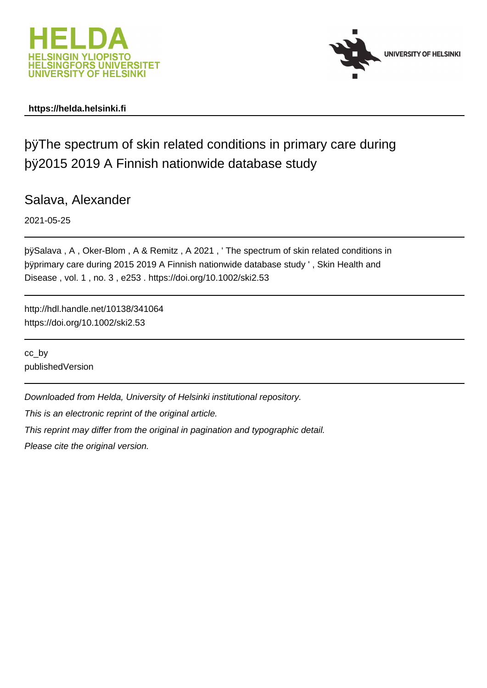

# **https://helda.helsinki.fi**



þÿThe spectrum of skin related conditions in prima þÿ2015 2019 A Finnish nationwide database study

Salava, Alexander

2021-05-25

þÿSalava, A, Oker-Blom, A & Remitz, A 2021, 'The spectrum of skin byprimary care during 2015 2019 A Finnish nationwide database study ', Disease , vol. 1 , no. 3 , e253 . https://doi.org/10.1002/ski2.53

http://hdl.handle.net/10138/341064 https://doi.org/10.1002/ski2.53

cc\_by publishedVersion

Downloaded from Helda, University of Helsinki institutional repository.

This is an electronic reprint of the original article.

This reprint may differ from the original in pagination and typographic detail.

Please cite the original version.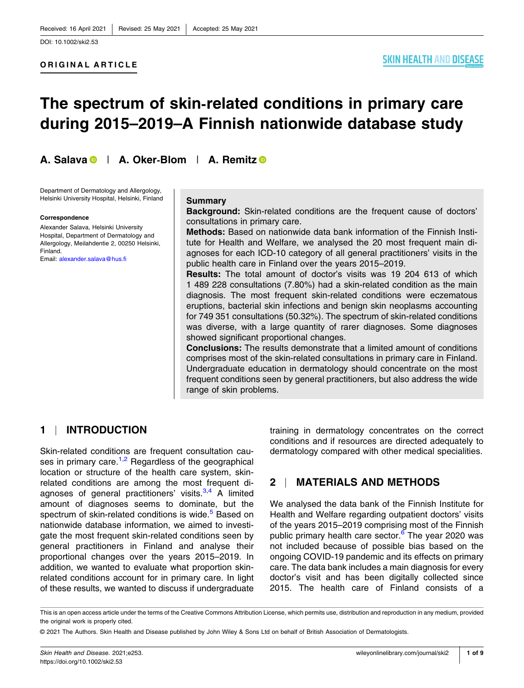# **The spectrum of skin‐related conditions in primary care during 2015–2019–A Finnish nationwide database study**

**A. Salava** | **A. Oker‐Blom** | **A. Remitz**

Department of Dermatology and Allergology, Helsinki University Hospital, Helsinki, Finland

#### **Correspondence**

Alexander Salava, Helsinki University Hospital, Department of Dermatology and Allergology, Meilahdentie 2, 00250 Helsinki, Finland.

Email: [alexander.salava@hus.fi](mailto:alexander.salava@hus.fi)

#### **Summary**

**Background:** Skin‐related conditions are the frequent cause of doctors' consultations in primary care.

**Methods:** Based on nationwide data bank information of the Finnish Institute for Health and Welfare, we analysed the 20 most frequent main diagnoses for each ICD‐10 category of all general practitioners' visits in the public health care in Finland over the years 2015–2019.

**Results:** The total amount of doctor's visits was 19 204 613 of which 1 489 228 consultations (7.80%) had a skin‐related condition as the main diagnosis. The most frequent skin‐related conditions were eczematous eruptions, bacterial skin infections and benign skin neoplasms accounting for 749 351 consultations (50.32%). The spectrum of skin-related conditions was diverse, with a large quantity of rarer diagnoses. Some diagnoses showed significant proportional changes.

**Conclusions:** The results demonstrate that a limited amount of conditions comprises most of the skin‐related consultations in primary care in Finland. Undergraduate education in dermatology should concentrate on the most frequent conditions seen by general practitioners, but also address the wide range of skin problems.

# **1** | **INTRODUCTION**

Skin-related conditions are frequent consultation causes in primary care.<sup>1,2</sup> Regardless of the geographical location or structure of the health care system, skin‐ related conditions are among the most frequent diagnoses of general practitioners' visits.<sup>3,4</sup> A limited amount of diagnoses seems to dominate, but the spectrum of skin-related conditions is wide.<sup>5</sup> Based on nationwide database information, we aimed to investigate the most frequent skin‐related conditions seen by general practitioners in Finland and analyse their proportional changes over the years 2015–2019. In addition, we wanted to evaluate what proportion skin‐ related conditions account for in primary care. In light of these results, we wanted to discuss if undergraduate

training in dermatology concentrates on the correct conditions and if resources are directed adequately to dermatology compared with other medical specialities.

# **2** | **MATERIALS AND METHODS**

We analysed the data bank of the Finnish Institute for Health and Welfare regarding outpatient doctors' visits of the years 2015–2019 comprising most of the Finnish public primary health care sector. $6$  The year 2020 was not included because of possible bias based on the ongoing COVID‐19 pandemic and its effects on primary care. The data bank includes a main diagnosis for every doctor's visit and has been digitally collected since 2015. The health care of Finland consists of a

This is an open access article under the terms of the Creative Commons Attribution License, which permits use, distribution and reproduction in any medium, provided the original work is properly cited.

<sup>©</sup> 2021 The Authors. Skin Health and Disease published by John Wiley & Sons Ltd on behalf of British Association of Dermatologists.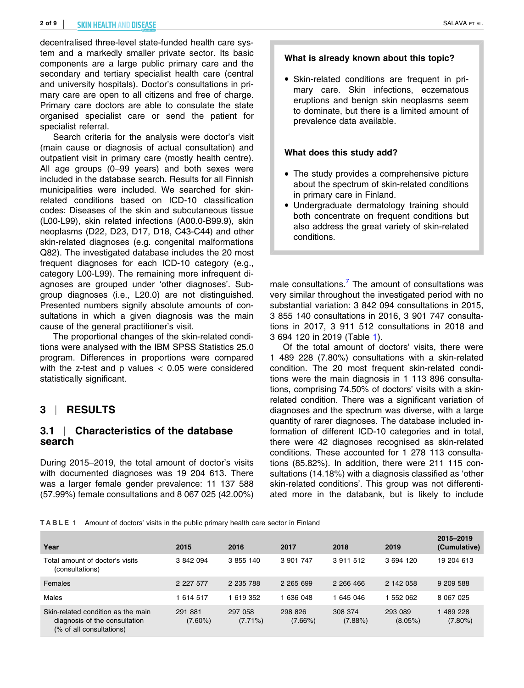decentralised three‐level state‐funded health care system and a markedly smaller private sector. Its basic components are a large public primary care and the secondary and tertiary specialist health care (central and university hospitals). Doctor's consultations in primary care are open to all citizens and free of charge. Primary care doctors are able to consulate the state organised specialist care or send the patient for specialist referral.

Search criteria for the analysis were doctor's visit (main cause or diagnosis of actual consultation) and outpatient visit in primary care (mostly health centre). All age groups (0–99 years) and both sexes were included in the database search. Results for all Finnish municipalities were included. We searched for skin‐ related conditions based on ICD‐10 classification codes: Diseases of the skin and subcutaneous tissue (L00‐L99), skin related infections (A00.0‐B99.9), skin neoplasms (D22, D23, D17, D18, C43‐C44) and other skin-related diagnoses (e.g. congenital malformations Q82). The investigated database includes the 20 most frequent diagnoses for each ICD‐10 category (e.g., category L00‐L99). The remaining more infrequent diagnoses are grouped under 'other diagnoses'. Subgroup diagnoses (i.e., L20.0) are not distinguished. Presented numbers signify absolute amounts of consultations in which a given diagnosis was the main cause of the general practitioner's visit.

The proportional changes of the skin‐related conditions were analysed with the IBM SPSS Statistics 25.0 program. Differences in proportions were compared with the z-test and p values  $< 0.05$  were considered statistically significant.

# **3** | **RESULTS**

## **3.1** | **Characteristics of the database search**

During 2015–2019, the total amount of doctor's visits with documented diagnoses was 19 204 613. There was a larger female gender prevalence: 11 137 588 (57.99%) female consultations and 8 067 025 (42.00%)

### **What is already known about this topic?**

� Skin‐related conditions are frequent in primary care. Skin infections, eczematous eruptions and benign skin neoplasms seem to dominate, but there is a limited amount of prevalence data available.

### **What does this study add?**

- The study provides a comprehensive picture about the spectrum of skin‐related conditions in primary care in Finland.
- � Undergraduate dermatology training should both concentrate on frequent conditions but also address the great variety of skin‐related conditions.

male consultations.<sup>7</sup> The amount of consultations was very similar throughout the investigated period with no substantial variation: 3 842 094 consultations in 2015, 3 855 140 consultations in 2016, 3 901 747 consultations in 2017, 3 911 512 consultations in 2018 and 3 694 120 in 2019 (Table 1).

Of the total amount of doctors' visits, there were 1 489 228 (7.80%) consultations with a skin‐related condition. The 20 most frequent skin‐related conditions were the main diagnosis in 1 113 896 consultations, comprising 74.50% of doctors' visits with a skin‐ related condition. There was a significant variation of diagnoses and the spectrum was diverse, with a large quantity of rarer diagnoses. The database included information of different ICD‐10 categories and in total, there were 42 diagnoses recognised as skin‐related conditions. These accounted for 1 278 113 consultations (85.82%). In addition, there were 211 115 consultations (14.18%) with a diagnosis classified as 'other skin-related conditions'. This group was not differentiated more in the databank, but is likely to include

**TABLE 1** Amount of doctors' visits in the public primary health care sector in Finland

| Year                                                                                            | 2015                  | 2016                  | 2017                  | 2018                  | 2019                  | 2015-2019<br>(Cumulative) |
|-------------------------------------------------------------------------------------------------|-----------------------|-----------------------|-----------------------|-----------------------|-----------------------|---------------------------|
| Total amount of doctor's visits<br>(consultations)                                              | 3 842 094             | 3 855 140             | 3 901 747             | 3 911 512             | 3 694 120             | 19 204 613                |
| Females                                                                                         | 2 2 2 5 7 7           | 2 235 788             | 2 2 65 6 99           | 2 266 466             | 2 142 058             | 9 209 588                 |
| Males                                                                                           | 1 614 517             | 1 619 352             | 636 048               | 645 046               | 552.062               | 8 067 025                 |
| Skin-related condition as the main<br>diagnosis of the consultation<br>(% of all consultations) | 291 881<br>$(7.60\%)$ | 297 058<br>$(7.71\%)$ | 298 826<br>$(7.66\%)$ | 308 374<br>$(7.88\%)$ | 293 089<br>$(8.05\%)$ | 489 228<br>$(7.80\%)$     |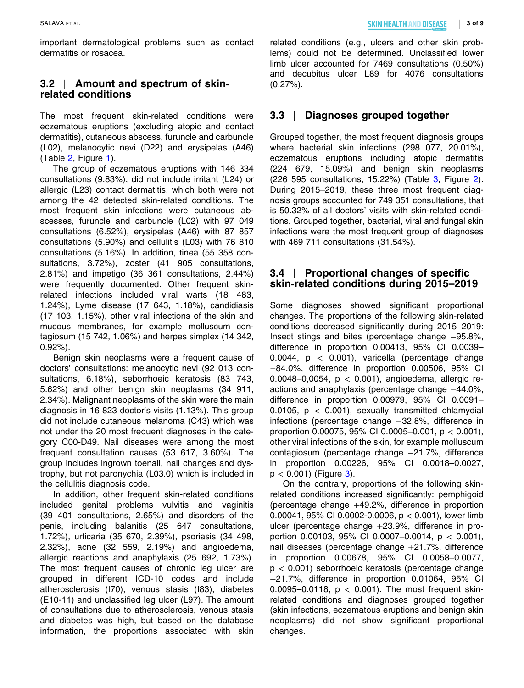important dermatological problems such as contact dermatitis or rosacea.

# **3.2** | **Amount and spectrum of skin‐ related conditions**

The most frequent skin‐related conditions were eczematous eruptions (excluding atopic and contact dermatitis), cutaneous abscess, furuncle and carbuncle (L02), melanocytic nevi (D22) and erysipelas (A46) (Table 2, Figure 1).

The group of eczematous eruptions with 146 334 consultations (9.83%), did not include irritant (L24) or allergic (L23) contact dermatitis, which both were not among the 42 detected skin‐related conditions. The most frequent skin infections were cutaneous abscesses, furuncle and carbuncle (L02) with 97 049 consultations (6.52%), erysipelas (A46) with 87 857 consultations (5.90%) and cellulitis (L03) with 76 810 consultations (5.16%). In addition, tinea (55 358 consultations, 3.72%), zoster (41 905 consultations, 2.81%) and impetigo (36 361 consultations, 2.44%) were frequently documented. Other frequent skin‐ related infections included viral warts (18 483, 1.24%), Lyme disease (17 643, 1.18%), candidiasis (17 103, 1.15%), other viral infections of the skin and mucous membranes, for example molluscum contagiosum (15 742, 1.06%) and herpes simplex (14 342, 0.92%).

Benign skin neoplasms were a frequent cause of doctors' consultations: melanocytic nevi (92 013 consultations, 6.18%), seborrhoeic keratosis (83 743, 5.62%) and other benign skin neoplasms (34 911, 2.34%). Malignant neoplasms of the skin were the main diagnosis in 16 823 doctor's visits (1.13%). This group did not include cutaneous melanoma (C43) which was not under the 20 most frequent diagnoses in the category C00‐D49. Nail diseases were among the most frequent consultation causes (53 617, 3.60%). The group includes ingrown toenail, nail changes and dystrophy, but not paronychia (L03.0) which is included in the cellulitis diagnosis code.

In addition, other frequent skin‐related conditions included genital problems vulvitis and vaginitis (39 401 consultations, 2.65%) and disorders of the penis, including balanitis (25 647 consultations, 1.72%), urticaria (35 670, 2.39%), psoriasis (34 498, 2.32%), acne (32 559, 2.19%) and angioedema, allergic reactions and anaphylaxis (25 692, 1.73%). The most frequent causes of chronic leg ulcer are grouped in different ICD‐10 codes and include atherosclerosis (I70), venous stasis (I83), diabetes (E10‐11) and unclassified leg ulcer (L97). The amount of consultations due to atherosclerosis, venous stasis and diabetes was high, but based on the database information, the proportions associated with skin

related conditions (e.g., ulcers and other skin problems) could not be determined. Unclassified lower limb ulcer accounted for 7469 consultations (0.50%) and decubitus ulcer L89 for 4076 consultations  $(0.27\%)$ .

# **3.3** | **Diagnoses grouped together**

Grouped together, the most frequent diagnosis groups where bacterial skin infections (298 077, 20.01%), eczematous eruptions including atopic dermatitis (224 679, 15.09%) and benign skin neoplasms (226 595 consultations, 15.22%) (Table 3, Figure 2). During 2015–2019, these three most frequent diagnosis groups accounted for 749 351 consultations, that is 50.32% of all doctors' visits with skin‐related conditions. Grouped together, bacterial, viral and fungal skin infections were the most frequent group of diagnoses with 469 711 consultations (31.54%).

## **3.4** | **Proportional changes of specific skin‐related conditions during 2015–2019**

Some diagnoses showed significant proportional changes. The proportions of the following skin‐related conditions decreased significantly during 2015–2019: Insect stings and bites (percentage change −95.8%, difference in proportion 0.00413, 95% CI 0.0039– 0.0044,  $p < 0.001$ ), varicella (percentage change −84.0%, difference in proportion 0.00506, 95% CI 0.0048–0,0054, p < 0.001), angioedema, allergic reactions and anaphylaxis (percentage change −44.0%, difference in proportion 0.00979, 95% CI 0.0091– 0.0105,  $p < 0.001$ ), sexually transmitted chlamydial infections (percentage change −32.8%, difference in proportion 0.00075, 95% CI 0.0005-0.001,  $p < 0.001$ ), other viral infections of the skin, for example molluscum contagiosum (percentage change −21.7%, difference in proportion 0.00226, 95% CI 0.0018–0.0027,  $p < 0.001$ ) (Figure 3).

On the contrary, proportions of the following skin‐ related conditions increased significantly: pemphigoid (percentage change +49.2%, difference in proportion 0.00041, 95% CI 0.0002‐0.0006, p < 0.001), lower limb ulcer (percentage change +23.9%, difference in proportion 0.00103, 95% CI 0.0007-0.0014,  $p < 0.001$ ), nail diseases (percentage change +21.7%, difference in proportion 0.00678, 95% CI 0.0058–0.0077,  $p < 0.001$ ) seborrhoeic keratosis (percentage change +21.7%, difference in proportion 0.01064, 95% CI 0.0095–0.0118,  $p < 0.001$ ). The most frequent skinrelated conditions and diagnoses grouped together (skin infections, eczematous eruptions and benign skin neoplasms) did not show significant proportional changes.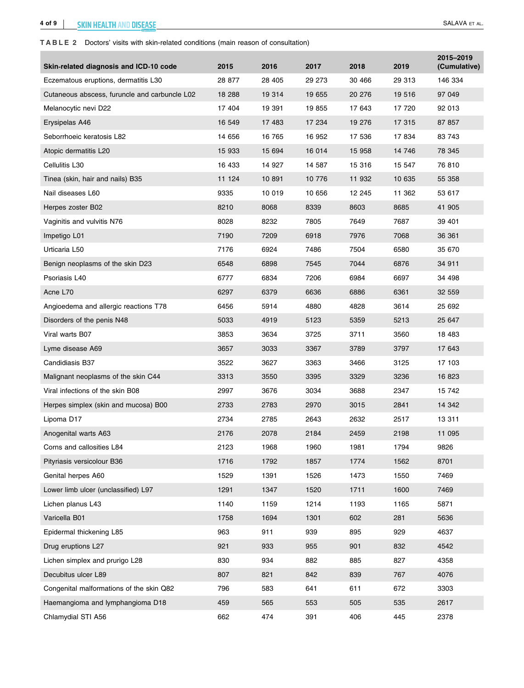#### **4 of 9 SKIN HEALTH AND DIS<u>EASE</u>** SALAVA ET AL.

#### **TABLE 2** Doctors' visits with skin‐related conditions (main reason of consultation)

| Skin-related diagnosis and ICD-10 code        | 2015   | 2016   | 2017   | 2018   | 2019   | 2015-2019<br>(Cumulative) |
|-----------------------------------------------|--------|--------|--------|--------|--------|---------------------------|
| Eczematous eruptions, dermatitis L30          | 28 877 | 28 405 | 29 273 | 30 466 | 29 313 | 146 334                   |
| Cutaneous abscess, furuncle and carbuncle L02 | 18 288 | 19 314 | 19 655 | 20 276 | 19 516 | 97 049                    |
| Melanocytic nevi D22                          | 17 404 | 19 391 | 19 855 | 17 643 | 17 720 | 92 013                    |
| Erysipelas A46                                | 16 549 | 17 483 | 17 234 | 19 276 | 17 315 | 87 857                    |
| Seborrhoeic keratosis L82                     | 14 656 | 16 765 | 16 952 | 17 536 | 17834  | 83 743                    |
| Atopic dermatitis L20                         | 15 933 | 15 694 | 16 014 | 15 958 | 14 746 | 78 345                    |
| Cellulitis L30                                | 16 433 | 14 927 | 14 587 | 15 316 | 15 547 | 76 810                    |
| Tinea (skin, hair and nails) B35              | 11 124 | 10 891 | 10 776 | 11 932 | 10 635 | 55 358                    |
| Nail diseases L60                             | 9335   | 10 019 | 10 656 | 12 245 | 11 362 | 53 617                    |
| Herpes zoster B02                             | 8210   | 8068   | 8339   | 8603   | 8685   | 41 905                    |
| Vaginitis and vulvitis N76                    | 8028   | 8232   | 7805   | 7649   | 7687   | 39 401                    |
| Impetigo L01                                  | 7190   | 7209   | 6918   | 7976   | 7068   | 36 361                    |
| Urticaria L50                                 | 7176   | 6924   | 7486   | 7504   | 6580   | 35 670                    |
| Benign neoplasms of the skin D23              | 6548   | 6898   | 7545   | 7044   | 6876   | 34 911                    |
| Psoriasis L40                                 | 6777   | 6834   | 7206   | 6984   | 6697   | 34 498                    |
| Acne L70                                      | 6297   | 6379   | 6636   | 6886   | 6361   | 32 559                    |
| Angioedema and allergic reactions T78         | 6456   | 5914   | 4880   | 4828   | 3614   | 25 692                    |
| Disorders of the penis N48                    | 5033   | 4919   | 5123   | 5359   | 5213   | 25 647                    |
| Viral warts B07                               | 3853   | 3634   | 3725   | 3711   | 3560   | 18 483                    |
| Lyme disease A69                              | 3657   | 3033   | 3367   | 3789   | 3797   | 17 643                    |
| Candidiasis B37                               | 3522   | 3627   | 3363   | 3466   | 3125   | 17 103                    |
| Malignant neoplasms of the skin C44           | 3313   | 3550   | 3395   | 3329   | 3236   | 16 823                    |
| Viral infections of the skin B08              | 2997   | 3676   | 3034   | 3688   | 2347   | 15 742                    |
| Herpes simplex (skin and mucosa) B00          | 2733   | 2783   | 2970   | 3015   | 2841   | 14 342                    |
| Lipoma D17                                    | 2734   | 2785   | 2643   | 2632   | 2517   | 13 311                    |
| Anogenital warts A63                          | 2176   | 2078   | 2184   | 2459   | 2198   | 11 095                    |
| Corns and callosities L84                     | 2123   | 1968   | 1960   | 1981   | 1794   | 9826                      |
| Pityriasis versicolour B36                    | 1716   | 1792   | 1857   | 1774   | 1562   | 8701                      |
| Genital herpes A60                            | 1529   | 1391   | 1526   | 1473   | 1550   | 7469                      |
| Lower limb ulcer (unclassified) L97           | 1291   | 1347   | 1520   | 1711   | 1600   | 7469                      |
| Lichen planus L43                             | 1140   | 1159   | 1214   | 1193   | 1165   | 5871                      |
| Varicella B01                                 | 1758   | 1694   | 1301   | 602    | 281    | 5636                      |
| Epidermal thickening L85                      | 963    | 911    | 939    | 895    | 929    | 4637                      |
| Drug eruptions L27                            | 921    | 933    | 955    | 901    | 832    | 4542                      |
| Lichen simplex and prurigo L28                | 830    | 934    | 882    | 885    | 827    | 4358                      |
| Decubitus ulcer L89                           | 807    | 821    | 842    | 839    | 767    | 4076                      |
| Congenital malformations of the skin Q82      | 796    | 583    | 641    | 611    | 672    | 3303                      |
| Haemangioma and lymphangioma D18              | 459    | 565    | 553    | 505    | 535    | 2617                      |
| Chlamydial STI A56                            | 662    | 474    | 391    | 406    | 445    | 2378                      |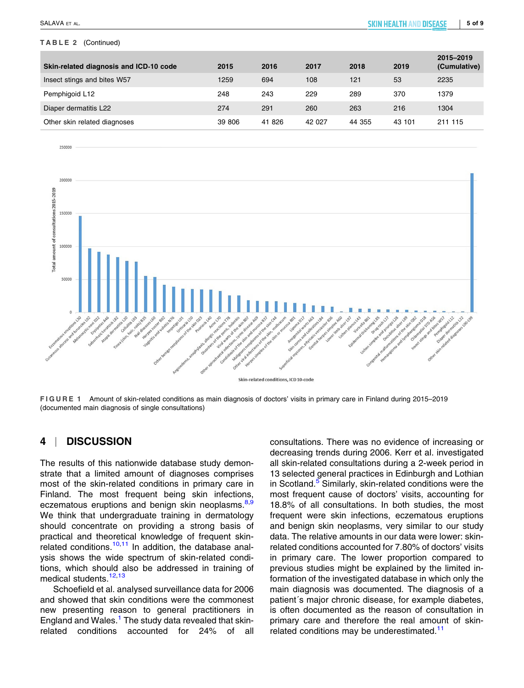#### **TABLE 2** (Continued)

| Skin-related diagnosis and ICD-10 code | 2015   | 2016   | 2017   | 2018   | 2019   | 2015-2019<br>(Cumulative) |
|----------------------------------------|--------|--------|--------|--------|--------|---------------------------|
| Insect stings and bites W57            | 1259   | 694    | 108    | 121    | 53     | 2235                      |
| Pemphigoid L12                         | 248    | 243    | 229    | 289    | 370    | 1379                      |
| Diaper dermatitis L22                  | 274    | 291    | 260    | 263    | 216    | 1304                      |
| Other skin related diagnoses           | 39 806 | 41 826 | 42 027 | 44 355 | 43 101 | 211 115                   |

250000



**FIGURE 1** Amount of skin‐related conditions as main diagnosis of doctors' visits in primary care in Finland during 2015–2019 (documented main diagnosis of single consultations)

# **4** | **DISCUSSION**

The results of this nationwide database study demonstrate that a limited amount of diagnoses comprises most of the skin‐related conditions in primary care in Finland. The most frequent being skin infections, eczematous eruptions and benign skin neoplasms.<sup>8,9</sup> We think that undergraduate training in dermatology should concentrate on providing a strong basis of practical and theoretical knowledge of frequent skin‐ related conditions.<sup>10,11</sup> In addition, the database analysis shows the wide spectrum of skin‐related conditions, which should also be addressed in training of medical students.<sup>12,13</sup>

Schoefield et al. analysed surveillance data for 2006 and showed that skin conditions were the commonest new presenting reason to general practitioners in England and Wales.<sup>1</sup> The study data revealed that skinrelated conditions accounted for 24% of all consultations. There was no evidence of increasing or decreasing trends during 2006. Kerr et al. investigated all skin‐related consultations during a 2‐week period in 13 selected general practices in Edinburgh and Lothian in Scotland.<sup>5</sup> Similarly, skin-related conditions were the most frequent cause of doctors' visits, accounting for 18.8% of all consultations. In both studies, the most frequent were skin infections, eczematous eruptions and benign skin neoplasms, very similar to our study data. The relative amounts in our data were lower: skin‐ related conditions accounted for 7.80% of doctors' visits in primary care. The lower proportion compared to previous studies might be explained by the limited information of the investigated database in which only the main diagnosis was documented. The diagnosis of a patient´s major chronic disease, for example diabetes, is often documented as the reason of consultation in primary care and therefore the real amount of skin‐ related conditions may be underestimated.<sup>11</sup>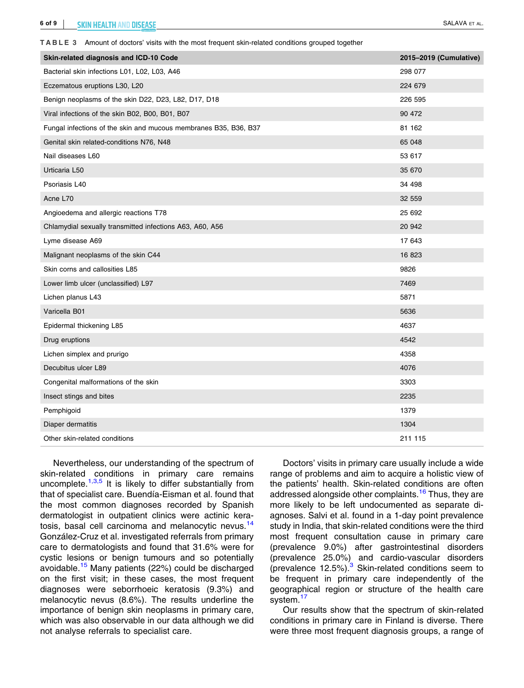**TABLE 3** Amount of doctors' visits with the most frequent skin‐related conditions grouped together

| Skin-related diagnosis and ICD-10 Code                           | 2015-2019 (Cumulative) |
|------------------------------------------------------------------|------------------------|
| Bacterial skin infections L01, L02, L03, A46                     | 298 077                |
| Eczematous eruptions L30, L20                                    | 224 679                |
| Benign neoplasms of the skin D22, D23, L82, D17, D18             | 226 595                |
| Viral infections of the skin B02, B00, B01, B07                  | 90 472                 |
| Fungal infections of the skin and mucous membranes B35, B36, B37 | 81 162                 |
| Genital skin related-conditions N76, N48                         | 65 048                 |
| Nail diseases L60                                                | 53 617                 |
| Urticaria L50                                                    | 35 670                 |
| Psoriasis L40                                                    | 34 498                 |
| Acne L70                                                         | 32 559                 |
| Angioedema and allergic reactions T78                            | 25 692                 |
| Chlamydial sexually transmitted infections A63, A60, A56         | 20 942                 |
| Lyme disease A69                                                 | 17 643                 |
| Malignant neoplasms of the skin C44                              | 16 823                 |
| Skin corns and callosities L85                                   | 9826                   |
| Lower limb ulcer (unclassified) L97                              | 7469                   |
| Lichen planus L43                                                | 5871                   |
| Varicella B01                                                    | 5636                   |
| Epidermal thickening L85                                         | 4637                   |
| Drug eruptions                                                   | 4542                   |
| Lichen simplex and prurigo                                       | 4358                   |
| Decubitus ulcer L89                                              | 4076                   |
| Congenital malformations of the skin                             | 3303                   |
| Insect stings and bites                                          | 2235                   |
| Pemphigoid                                                       | 1379                   |
| Diaper dermatitis                                                | 1304                   |
| Other skin-related conditions                                    | 211 115                |

Nevertheless, our understanding of the spectrum of skin-related conditions in primary care remains uncomplete.<sup>1,3,5</sup> It is likely to differ substantially from that of specialist care. Buendía‐Eisman et al. found that the most common diagnoses recorded by Spanish dermatologist in outpatient clinics were actinic keratosis, basal cell carcinoma and melanocytic nevus.<sup>14</sup> González‐Cruz et al. investigated referrals from primary care to dermatologists and found that 31.6% were for cystic lesions or benign tumours and so potentially avoidable.<sup>15</sup> Many patients (22%) could be discharged on the first visit; in these cases, the most frequent diagnoses were seborrhoeic keratosis (9.3%) and melanocytic nevus (8.6%). The results underline the importance of benign skin neoplasms in primary care, which was also observable in our data although we did not analyse referrals to specialist care.

Doctors' visits in primary care usually include a wide range of problems and aim to acquire a holistic view of the patients' health. Skin‐related conditions are often addressed alongside other complaints.<sup>16</sup> Thus, they are more likely to be left undocumented as separate diagnoses. Salvi et al. found in a 1‐day point prevalence study in India, that skin‐related conditions were the third most frequent consultation cause in primary care (prevalence 9.0%) after gastrointestinal disorders (prevalence 25.0%) and cardio‐vascular disorders (prevalence 12.5%). $3$  Skin-related conditions seem to be frequent in primary care independently of the geographical region or structure of the health care system.<sup>17</sup>

Our results show that the spectrum of skin‐related conditions in primary care in Finland is diverse. There were three most frequent diagnosis groups, a range of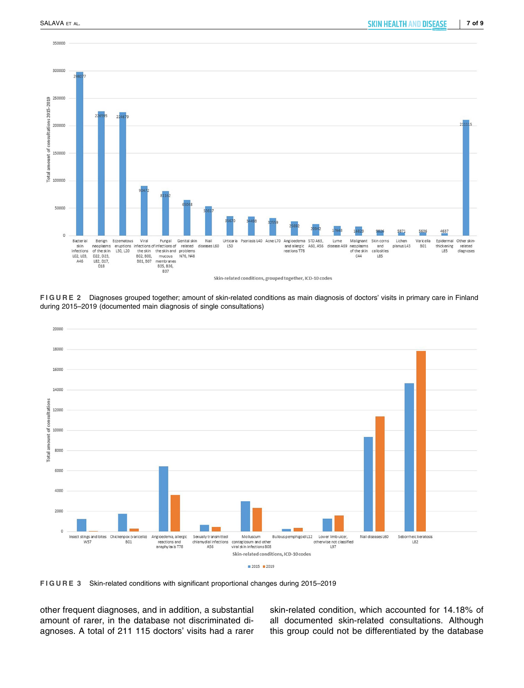

**FIGURE 2** Diagnoses grouped together; amount of skin‐related conditions as main diagnosis of doctors' visits in primary care in Finland during 2015–2019 (documented main diagnosis of single consultations)



**FIGURE 3** Skin‐related conditions with significant proportional changes during 2015–2019

other frequent diagnoses, and in addition, a substantial amount of rarer, in the database not discriminated diagnoses. A total of 211 115 doctors' visits had a rarer skin-related condition, which accounted for 14.18% of all documented skin‐related consultations. Although this group could not be differentiated by the database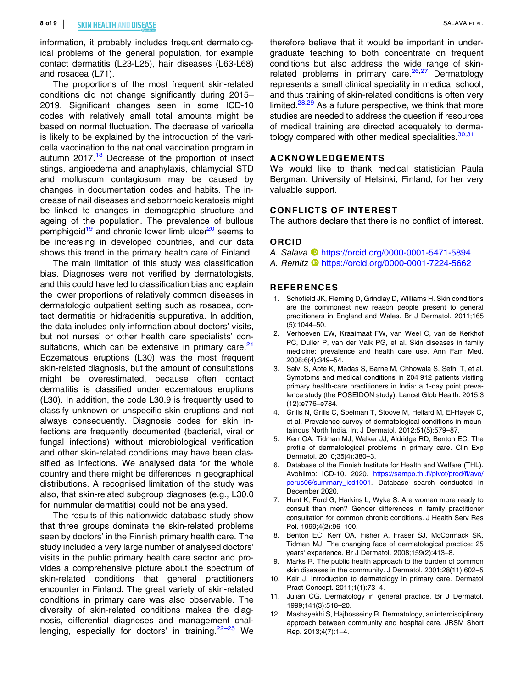information, it probably includes frequent dermatological problems of the general population, for example contact dermatitis (L23‐L25), hair diseases (L63‐L68) and rosacea (L71).

The proportions of the most frequent skin‐related conditions did not change significantly during 2015– 2019. Significant changes seen in some ICD‐10 codes with relatively small total amounts might be based on normal fluctuation. The decrease of varicella is likely to be explained by the introduction of the varicella vaccination to the national vaccination program in autumn  $2017<sup>18</sup>$  Decrease of the proportion of insect stings, angioedema and anaphylaxis, chlamydial STD and molluscum contagiosum may be caused by changes in documentation codes and habits. The increase of nail diseases and seborrhoeic keratosis might be linked to changes in demographic structure and ageing of the population. The prevalence of bullous pemphigoid<sup>19</sup> and chronic lower limb ulcer<sup>20</sup> seems to be increasing in developed countries, and our data shows this trend in the primary health care of Finland.

The main limitation of this study was classification bias. Diagnoses were not verified by dermatologists, and this could have led to classification bias and explain the lower proportions of relatively common diseases in dermatologic outpatient setting such as rosacea, contact dermatitis or hidradenitis suppurativa. In addition, the data includes only information about doctors' visits, but not nurses' or other health care specialists' consultations, which can be extensive in primary care.<sup>21</sup> Eczematous eruptions (L30) was the most frequent skin‐related diagnosis, but the amount of consultations might be overestimated, because often contact dermatitis is classified under eczematous eruptions (L30). In addition, the code L30.9 is frequently used to classify unknown or unspecific skin eruptions and not always consequently. Diagnosis codes for skin infections are frequently documented (bacterial, viral or fungal infections) without microbiological verification and other skin‐related conditions may have been classified as infections. We analysed data for the whole country and there might be differences in geographical distributions. A recognised limitation of the study was also, that skin‐related subgroup diagnoses (e.g., L30.0 for nummular dermatitis) could not be analysed.

The results of this nationwide database study show that three groups dominate the skin‐related problems seen by doctors' in the Finnish primary health care. The study included a very large number of analysed doctors' visits in the public primary health care sector and provides a comprehensive picture about the spectrum of skin-related conditions that general practitioners encounter in Finland. The great variety of skin‐related conditions in primary care was also observable. The diversity of skin‐related conditions makes the diagnosis, differential diagnoses and management challenging, especially for doctors' in training.<sup>22–25</sup> We

therefore believe that it would be important in undergraduate teaching to both concentrate on frequent conditions but also address the wide range of skin‐ related problems in primary care. $26,27$  Dermatology represents a small clinical speciality in medical school, and thus training of skin‐related conditions is often very limited. $28,29$  As a future perspective, we think that more studies are needed to address the question if resources of medical training are directed adequately to dermatology compared with other medical specialities.<sup>30,31</sup>

#### **ACKNOWLEDGEMENTS**

We would like to thank medical statistician Paula Bergman, University of Helsinki, Finland, for her very valuable support.

#### **CONFLICTS OF INTEREST**

The authors declare that there is no conflict of interest.

#### **ORCID**

- *A. Salava* <https://orcid.org/0000-0001-5471-5894>
- *A. Remitz* **<https://orcid.org/0000-0001-7224-5662>**

#### **REFERENCES**

- 1. Schofield JK, Fleming D, Grindlay D, Williams H. Skin conditions are the commonest new reason people present to general practitioners in England and Wales. Br J Dermatol. 2011;165 (5):1044–50.
- 2. Verhoeven EW, Kraaimaat FW, van Weel C, van de Kerkhof PC, Duller P, van der Valk PG, et al. Skin diseases in family medicine: prevalence and health care use. Ann Fam Med. 2008;6(4):349–54.
- 3. Salvi S, Apte K, Madas S, Barne M, Chhowala S, Sethi T, et al. Symptoms and medical conditions in 204 912 patients visiting primary health‐care practitioners in India: a 1‐day point prevalence study (the POSEIDON study). Lancet Glob Health. 2015;3 (12):e776–e784.
- 4. Grills N, Grills C, Spelman T, Stoove M, Hellard M, El‐Hayek C, et al. Prevalence survey of dermatological conditions in mountainous North India. Int J Dermatol. 2012;51(5):579–87.
- 5. Kerr OA, Tidman MJ, Walker JJ, Aldridge RD, Benton EC. The profile of dermatological problems in primary care. Clin Exp Dermatol. 2010;35(4):380–3.
- 6. Database of the Finnish Institute for Health and Welfare (THL). Avohilmo: ICD‐10. 2020. [https://sampo.thl.fi/pivot/prod/fi/avo/](https://sampo.thl.fi/pivot/prod/fi/avo/perus06/summary_icd1001) [perus06/summary\\_icd1001.](https://sampo.thl.fi/pivot/prod/fi/avo/perus06/summary_icd1001) Database search conducted in December 2020.
- 7. Hunt K, Ford G, Harkins L, Wyke S. Are women more ready to consult than men? Gender differences in family practitioner consultation for common chronic conditions. J Health Serv Res Pol. 1999;4(2):96–100.
- 8. Benton EC, Kerr OA, Fisher A, Fraser SJ, McCormack SK, Tidman MJ. The changing face of dermatological practice: 25 years' experience. Br J Dermatol. 2008;159(2):413–8.
- Marks R. The public health approach to the burden of common skin diseases in the community. J Dermatol. 2001;28(11):602–5
- 10. Keir J. Introduction to dermatology in primary care. Dermatol Pract Concept. 2011;1(1):73–4.
- 11. Julian CG. Dermatology in general practice. Br J Dermatol. 1999;141(3):518–20.
- 12. Mashayekhi S, Hajhosseiny R. Dermatology, an interdisciplinary approach between community and hospital care. JRSM Short Rep. 2013;4(7):1–4.